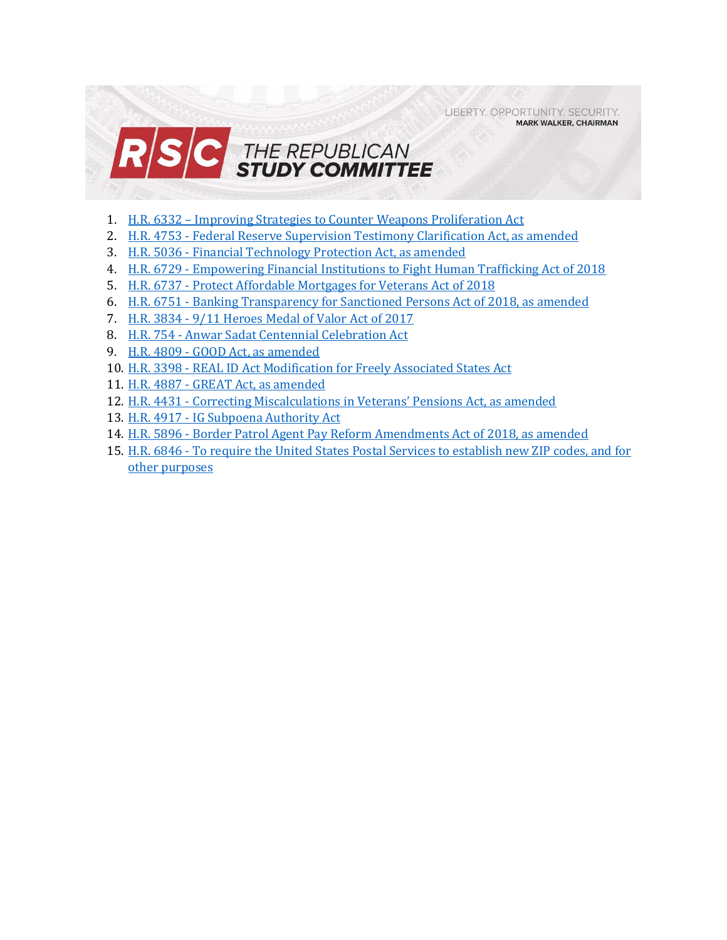LIBERTY. OPPORTUNITY. SECURITY. **MARK WALKER, CHAIRMAN** 



- 1. H.R. 6332 [Improving Strategies to Counter Weapons Proliferation Act](#page-1-0)
- 2. H.R. 4753 [Federal Reserve Supervision Testimony Clarification Act, as amended](#page-3-0)
- 3. H.R. 5036 [Financial Technology Protection Act, as amended](#page-5-0)
- 4. H.R. 6729 [Empowering Financial Institutions to Fight Human Trafficking Act of 2018](#page-7-0)
- 5. H.R. 6737 [Protect Affordable Mortgages for Veterans Act of 2018](#page-9-0)
- 6. H.R. 6751 [Banking Transparency for Sanctioned Persons Act of 2018, as amended](#page-11-0)
- 7. H.R. 3834 [9/11 Heroes Medal of Valor Act of 2017](#page-13-0)
- 8. H.R. 754 [Anwar Sadat Centennial Celebration Act](#page-14-0)
- 9. H.R. 4809 [GOOD Act, as amended](#page-16-0)
- 10. H.R. 3398 [REAL ID Act Modification for Freely Associated States Act](#page-17-0)
- 11. H.R. 4887 [GREAT Act, as amended](#page-18-0)
- 12. H.R. 4431 [Correcting Miscalculations in Veterans' Pensions Act, as amended](#page-20-0)
- 13. H.R. 4917 [IG Subpoena Authority Act](#page-22-0)
- 14. H.R. 5896 [Border Patrol Agent Pay Reform Amendments Act of 2018, as amended](#page-23-0)
- 15. H.R. 6846 [To require the United States Postal Services to establish new ZIP codes, and for](#page-26-0)  [other purposes](#page-26-0)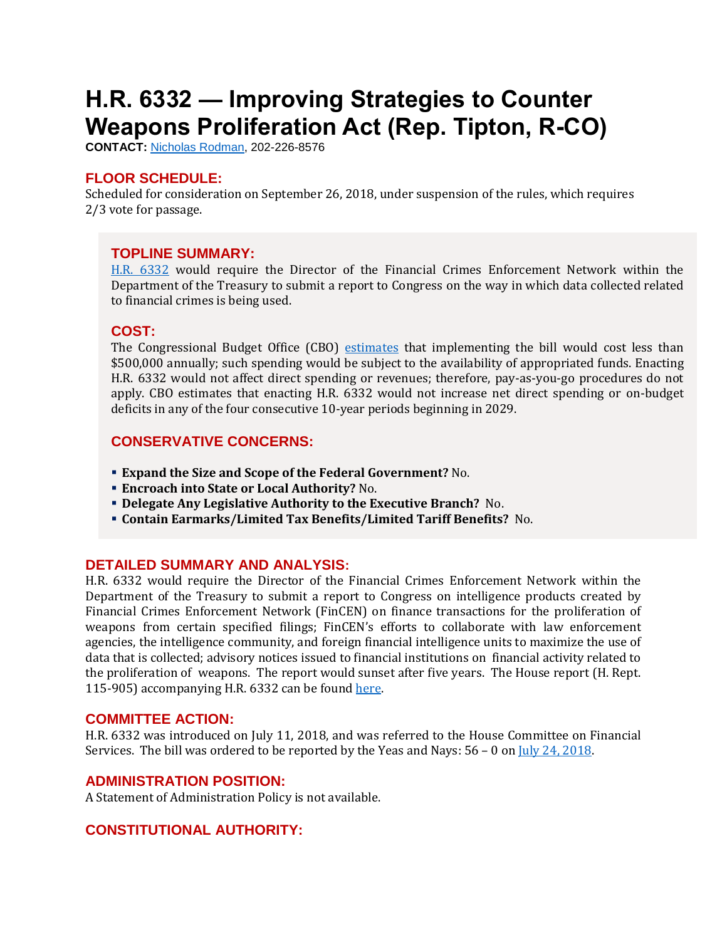# <span id="page-1-0"></span>**H.R. 6332 — Improving Strategies to Counter Weapons Proliferation Act (Rep. Tipton, R-CO)**

**CONTACT:** [Nicholas Rodman,](mailto:nicholas.rodman@mail.house.gov) 202-226-8576

#### **FLOOR SCHEDULE:**

Scheduled for consideration on September 26, 2018, under suspension of the rules, which requires 2/3 vote for passage.

#### **TOPLINE SUMMARY:**

[H.R. 6332](https://docs.house.gov/billsthisweek/20180924/HR6332.pdf) would require the Director of the Financial Crimes Enforcement Network within the Department of the Treasury to submit a report to Congress on the way in which data collected related to financial crimes is being used.

#### **COST:**

The Congressional Budget Office (CBO) [estimates](https://www.cbo.gov/system/files?file=2018-08/hr6332.pdf) that implementing the bill would cost less than \$500,000 annually; such spending would be subject to the availability of appropriated funds. Enacting H.R. 6332 would not affect direct spending or revenues; therefore, pay-as-you-go procedures do not apply. CBO estimates that enacting H.R. 6332 would not increase net direct spending or on-budget deficits in any of the four consecutive 10-year periods beginning in 2029.

## **CONSERVATIVE CONCERNS:**

- **Expand the Size and Scope of the Federal Government?** No.
- **Encroach into State or Local Authority?** No.
- **Delegate Any Legislative Authority to the Executive Branch?** No.
- **Contain Earmarks/Limited Tax Benefits/Limited Tariff Benefits?** No.

#### **DETAILED SUMMARY AND ANALYSIS:**

H.R. 6332 would require the Director of the Financial Crimes Enforcement Network within the Department of the Treasury to submit a report to Congress on intelligence products created by Financial Crimes Enforcement Network (FinCEN) on finance transactions for the proliferation of weapons from certain specified filings; FinCEN's efforts to collaborate with law enforcement agencies, the intelligence community, and foreign financial intelligence units to maximize the use of data that is collected; advisory notices issued to financial institutions on financial activity related to the proliferation of weapons. The report would sunset after five years. The House report (H. Rept. 115-905) accompanying H.R. 6332 can be foun[d here.](https://www.gpo.gov/fdsys/pkg/CRPT-115hrpt905/pdf/CRPT-115hrpt905.pdf)

#### **COMMITTEE ACTION:**

H.R. 6332 was introduced on July 11, 2018, and was referred to the House Committee on Financial Services. The bill was ordered to be reported by the Yeas and Nays: 56 - 0 on  $\text{Iuly 24, 2018}.$ 

#### **ADMINISTRATION POSITION:**

A Statement of Administration Policy is not available.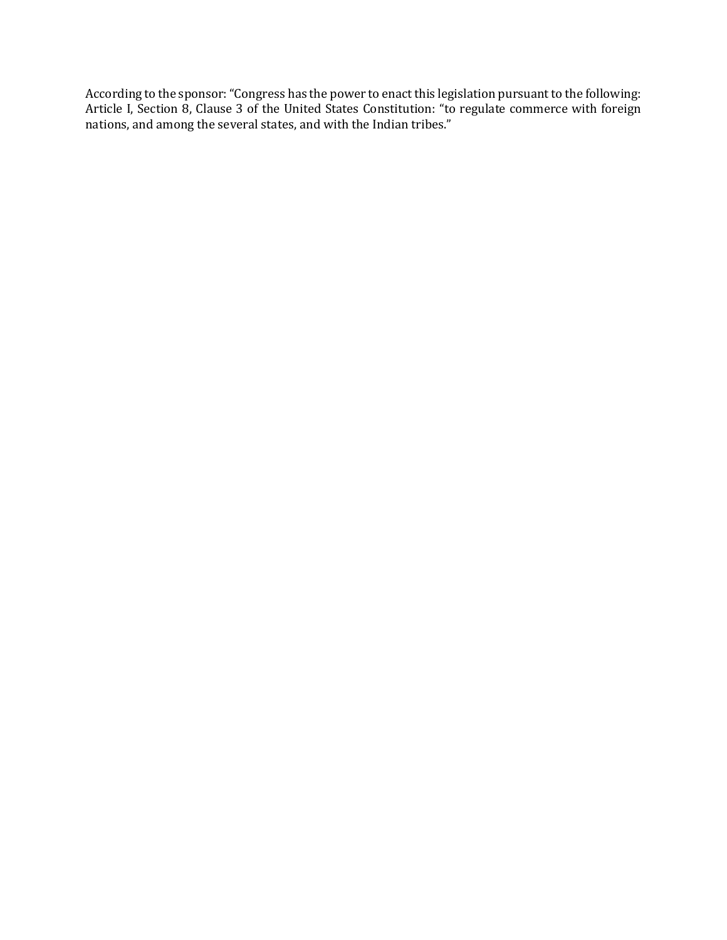According to the sponsor: "Congress has the power to enact this legislation pursuant to the following: Article I, Section 8, Clause 3 of the United States Constitution: "to regulate commerce with foreign nations, and among the several states, and with the Indian tribes."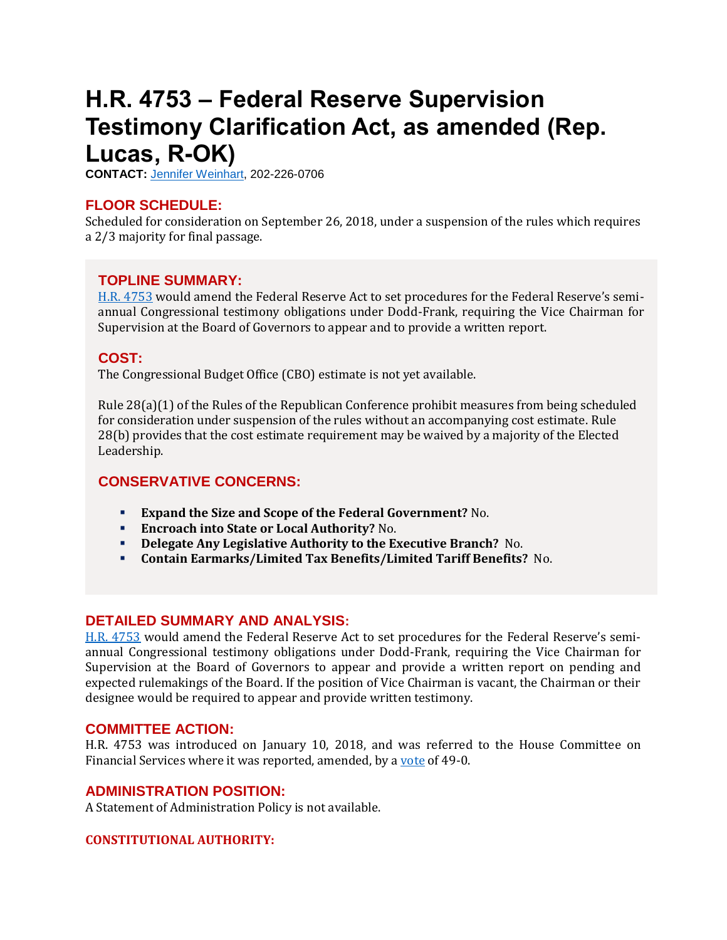## <span id="page-3-0"></span>**H.R. 4753 – Federal Reserve Supervision Testimony Clarification Act, as amended (Rep. Lucas, R-OK)**

**CONTACT:** [Jennifer Weinhart,](mailto:jennifer.weinhart@mail.house.gov) 202-226-0706

## **FLOOR SCHEDULE:**

Scheduled for consideration on September 26, 2018, under a suspension of the rules which requires a 2/3 majority for final passage.

## **TOPLINE SUMMARY:**

[H.R. 4753](https://docs.house.gov/billsthisweek/20180924/HR4753.pdf) would amend the Federal Reserve Act to set procedures for the Federal Reserve's semiannual Congressional testimony obligations under Dodd-Frank, requiring the Vice Chairman for Supervision at the Board of Governors to appear and to provide a written report.

## **COST:**

The Congressional Budget Office (CBO) estimate is not yet available.

Rule 28(a)(1) of the Rules of the Republican Conference prohibit measures from being scheduled for consideration under suspension of the rules without an accompanying cost estimate. Rule 28(b) provides that the cost estimate requirement may be waived by a majority of the Elected Leadership.

## **CONSERVATIVE CONCERNS:**

- **Expand the Size and Scope of the Federal Government?** No.
- **Encroach into State or Local Authority?** No.
- **Delegate Any Legislative Authority to the Executive Branch?** No.
- **Contain Earmarks/Limited Tax Benefits/Limited Tariff Benefits?** No.

## **DETAILED SUMMARY AND ANALYSIS:**

[H.R. 4753](https://docs.house.gov/billsthisweek/20180924/HR4753.pdf) would amend the Federal Reserve Act to set procedures for the Federal Reserve's semiannual Congressional testimony obligations under Dodd-Frank, requiring the Vice Chairman for Supervision at the Board of Governors to appear and provide a written report on pending and expected rulemakings of the Board. If the position of Vice Chairman is vacant, the Chairman or their designee would be required to appear and provide written testimony.

#### **COMMITTEE ACTION:**

H.R. 4753 was introduced on January 10, 2018, and was referred to the House Committee on Financial Services where it was reported, amended, by [a vote](https://financialservices.house.gov/uploadedfiles/crpt-115-hmtg-ba00-fc203-20180913.pdf) of 49-0.

#### **ADMINISTRATION POSITION:**

A Statement of Administration Policy is not available.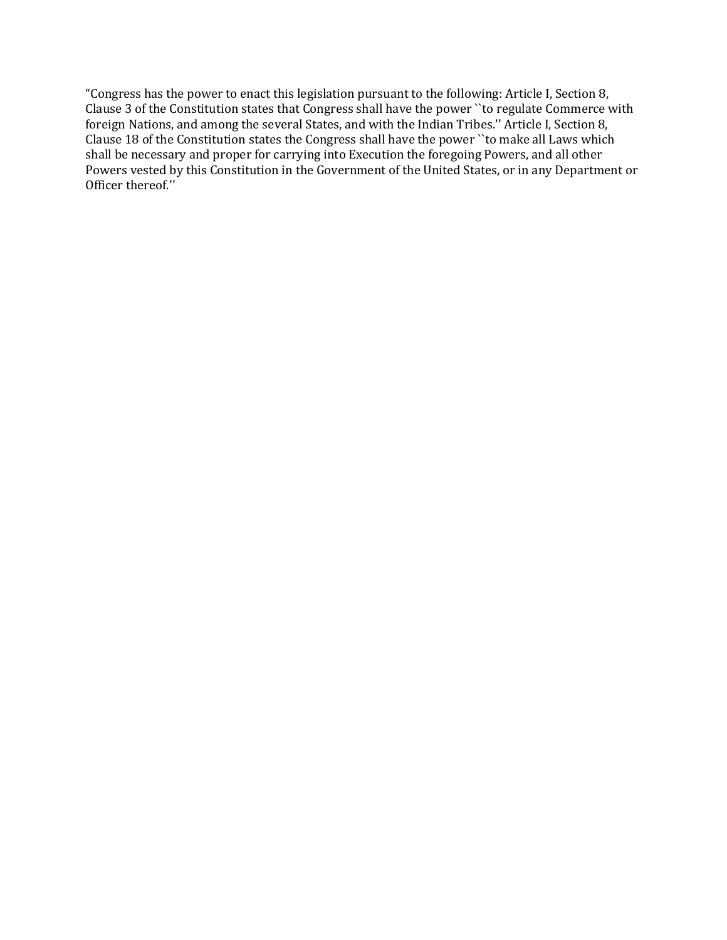"Congress has the power to enact this legislation pursuant to the following: Article I, Section 8, Clause 3 of the Constitution states that Congress shall have the power ``to regulate Commerce with foreign Nations, and among the several States, and with the Indian Tribes.'' Article I, Section 8, Clause 18 of the Constitution states the Congress shall have the power ``to make all Laws which shall be necessary and proper for carrying into Execution the foregoing Powers, and all other Powers vested by this Constitution in the Government of the United States, or in any Department or Officer thereof.''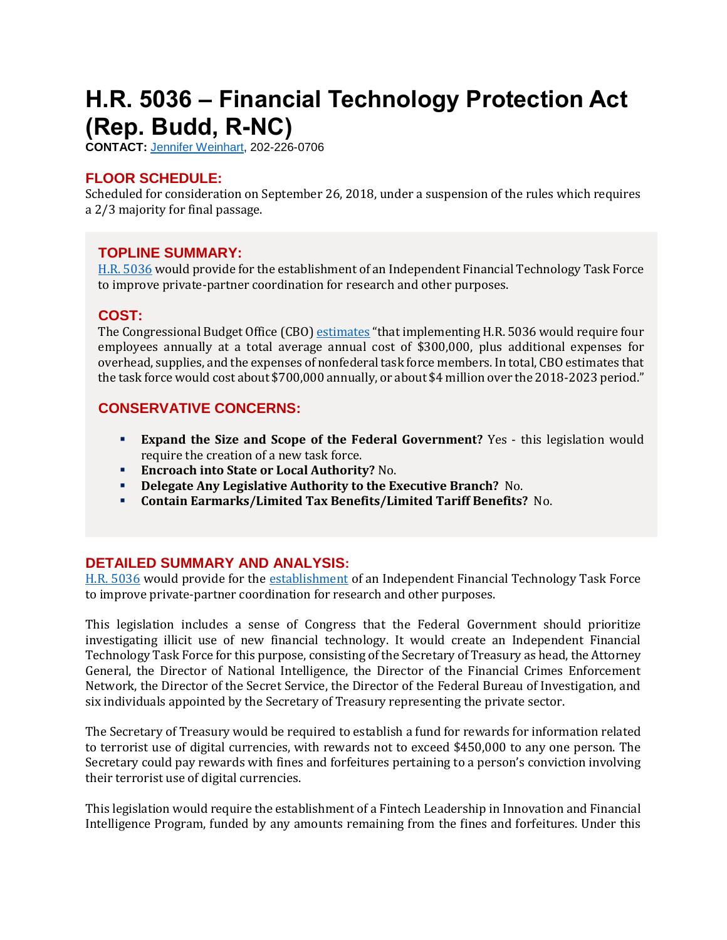# <span id="page-5-0"></span>**H.R. 5036 – Financial Technology Protection Act (Rep. Budd, R-NC)**

**CONTACT:** [Jennifer Weinhart,](mailto:jennifer.weinhart@mail.house.gov) 202-226-0706

## **FLOOR SCHEDULE:**

Scheduled for consideration on September 26, 2018, under a suspension of the rules which requires a 2/3 majority for final passage.

#### **TOPLINE SUMMARY:**

[H.R. 5036](https://docs.house.gov/billsthisweek/20180924/HR5036.pdf) would provide for the establishment of an Independent Financial Technology Task Force to improve private-partner coordination for research and other purposes.

#### **COST:**

The Congressional Budget Office (CBO[\) estimates](https://www.cbo.gov/system/files?file=2018-09/hr5036.pdf) "that implementing H.R. 5036 would require four employees annually at a total average annual cost of \$300,000, plus additional expenses for overhead, supplies, and the expenses of nonfederal task force members. In total, CBO estimates that the task force would cost about \$700,000 annually, or about \$4 million over the 2018-2023 period."

## **CONSERVATIVE CONCERNS:**

- **Expand the Size and Scope of the Federal Government?** Yes this legislation would require the creation of a new task force.
- **Encroach into State or Local Authority?** No.
- **Delegate Any Legislative Authority to the Executive Branch?** No.
- **Contain Earmarks/Limited Tax Benefits/Limited Tariff Benefits?** No.

## **DETAILED SUMMARY AND ANALYSIS:**

[H.R. 5036](https://docs.house.gov/billsthisweek/20180924/HR5036.pdf) would provide for the [establishment](https://budd.house.gov/news/documentsingle.aspx?DocumentID=350) of an Independent Financial Technology Task Force to improve private-partner coordination for research and other purposes.

This legislation includes a sense of Congress that the Federal Government should prioritize investigating illicit use of new financial technology. It would create an Independent Financial Technology Task Force for this purpose, consisting of the Secretary of Treasury as head, the Attorney General, the Director of National Intelligence, the Director of the Financial Crimes Enforcement Network, the Director of the Secret Service, the Director of the Federal Bureau of Investigation, and six individuals appointed by the Secretary of Treasury representing the private sector.

The Secretary of Treasury would be required to establish a fund for rewards for information related to terrorist use of digital currencies, with rewards not to exceed \$450,000 to any one person. The Secretary could pay rewards with fines and forfeitures pertaining to a person's conviction involving their terrorist use of digital currencies.

This legislation would require the establishment of a Fintech Leadership in Innovation and Financial Intelligence Program, funded by any amounts remaining from the fines and forfeitures. Under this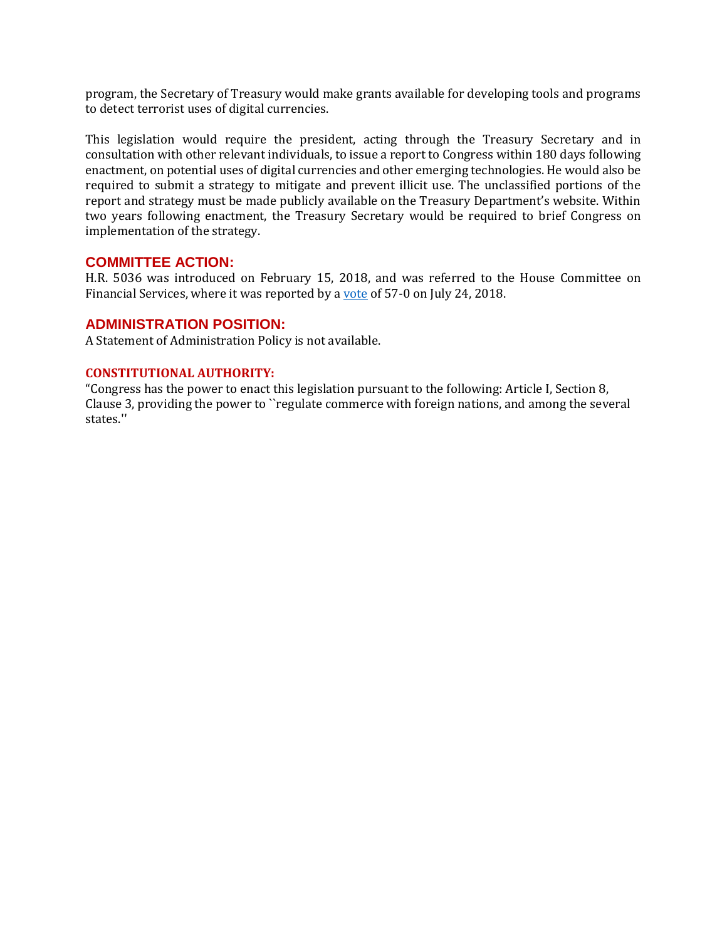program, the Secretary of Treasury would make grants available for developing tools and programs to detect terrorist uses of digital currencies.

This legislation would require the president, acting through the Treasury Secretary and in consultation with other relevant individuals, to issue a report to Congress within 180 days following enactment, on potential uses of digital currencies and other emerging technologies. He would also be required to submit a strategy to mitigate and prevent illicit use. The unclassified portions of the report and strategy must be made publicly available on the Treasury Department's website. Within two years following enactment, the Treasury Secretary would be required to brief Congress on implementation of the strategy.

#### **COMMITTEE ACTION:**

H.R. 5036 was introduced on February 15, 2018, and was referred to the House Committee on Financial Services, where it was reported by a [vote](https://financialservices.house.gov/uploadedfiles/crpt-115-hmtg-ba00-fc197-20180724.pdf) of 57-0 on July 24, 2018.

#### **ADMINISTRATION POSITION:**

A Statement of Administration Policy is not available.

#### **CONSTITUTIONAL AUTHORITY:**

"Congress has the power to enact this legislation pursuant to the following: Article I, Section 8, Clause 3, providing the power to ``regulate commerce with foreign nations, and among the several states.''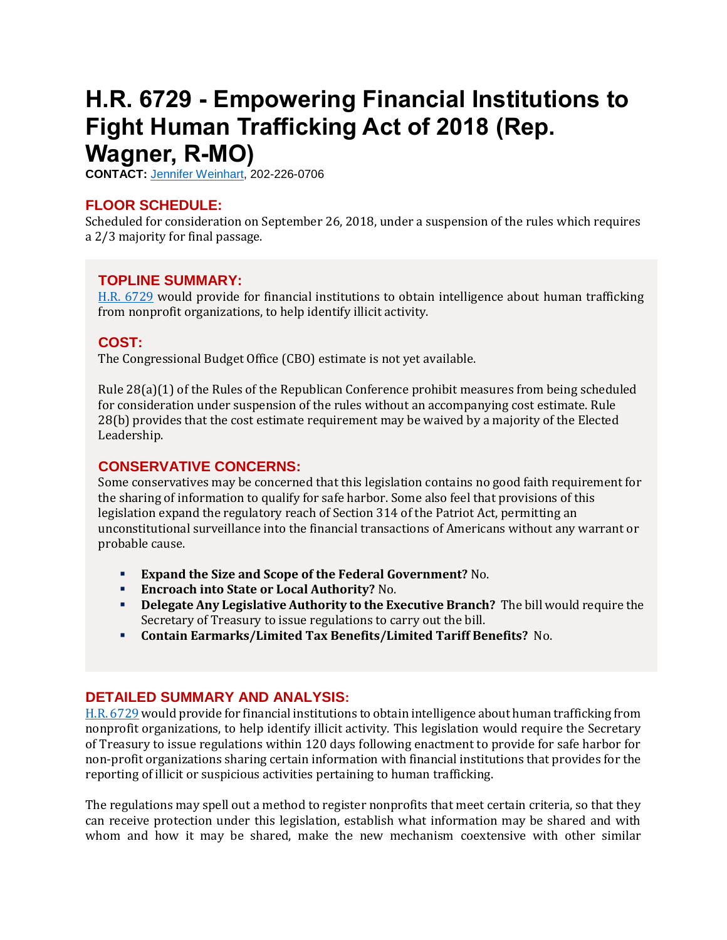## <span id="page-7-0"></span>**H.R. 6729 - Empowering Financial Institutions to Fight Human Trafficking Act of 2018 (Rep. Wagner, R-MO)**

**CONTACT:** [Jennifer Weinhart,](mailto:jennifer.weinhart@mail.house.gov) 202-226-0706

## **FLOOR SCHEDULE:**

Scheduled for consideration on September 26, 2018, under a suspension of the rules which requires a 2/3 majority for final passage.

## **TOPLINE SUMMARY:**

[H.R. 6729](https://docs.house.gov/billsthisweek/20180924/HR6729.pdf) would provide for financial institutions to obtain intelligence about human trafficking from nonprofit organizations, to help identify illicit activity.

## **COST:**

The Congressional Budget Office (CBO) estimate is not yet available.

Rule 28(a)(1) of the Rules of the Republican Conference prohibit measures from being scheduled for consideration under suspension of the rules without an accompanying cost estimate. Rule 28(b) provides that the cost estimate requirement may be waived by a majority of the Elected Leadership.

## **CONSERVATIVE CONCERNS:**

Some conservatives may be concerned that this legislation contains no good faith requirement for the sharing of information to qualify for safe harbor. Some also feel that provisions of this legislation expand the regulatory reach of Section 314 of the Patriot Act, permitting an unconstitutional surveillance into the financial transactions of Americans without any warrant or probable cause.

- **Expand the Size and Scope of the Federal Government?** No.
- **Encroach into State or Local Authority?** No.
- **Delegate Any Legislative Authority to the Executive Branch?** The bill would require the Secretary of Treasury to issue regulations to carry out the bill.
- **Contain Earmarks/Limited Tax Benefits/Limited Tariff Benefits?** No.

## **DETAILED SUMMARY AND ANALYSIS:**

[H.R. 6729](https://docs.house.gov/billsthisweek/20180924/HR6729.pdf) would provide for financial institutions to obtain intelligence about human trafficking from nonprofit organizations, to help identify illicit activity. This legislation would require the Secretary of Treasury to issue regulations within 120 days following enactment to provide for safe harbor for non-profit organizations sharing certain information with financial institutions that provides for the reporting of illicit or suspicious activities pertaining to human trafficking.

The regulations may spell out a method to register nonprofits that meet certain criteria, so that they can receive protection under this legislation, establish what information may be shared and with whom and how it may be shared, make the new mechanism coextensive with other similar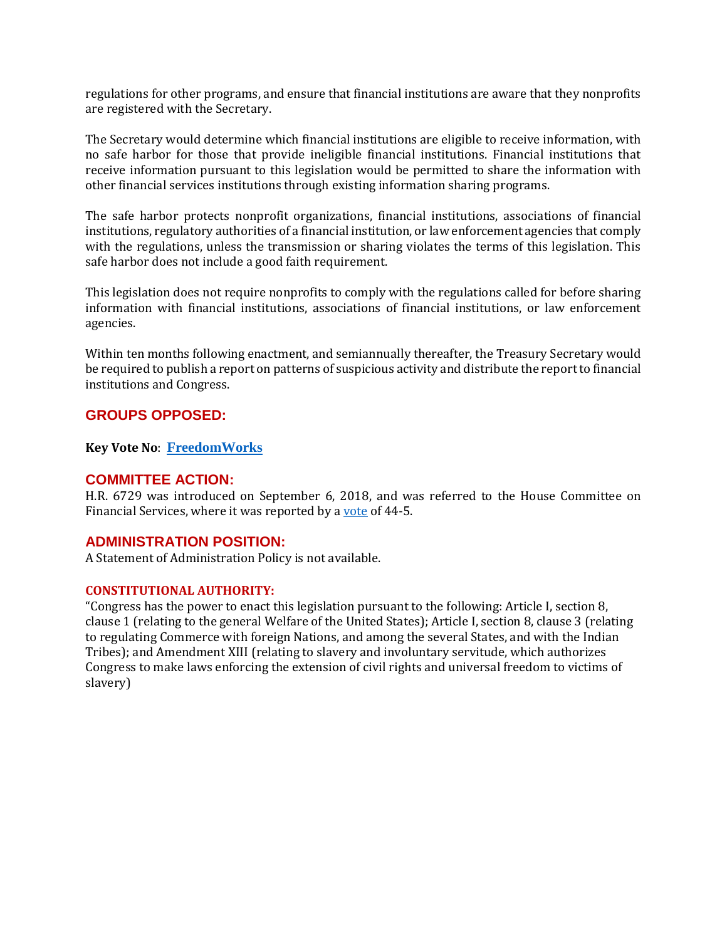regulations for other programs, and ensure that financial institutions are aware that they nonprofits are registered with the Secretary.

The Secretary would determine which financial institutions are eligible to receive information, with no safe harbor for those that provide ineligible financial institutions. Financial institutions that receive information pursuant to this legislation would be permitted to share the information with other financial services institutions through existing information sharing programs.

The safe harbor protects nonprofit organizations, financial institutions, associations of financial institutions, regulatory authorities of a financial institution, or law enforcement agencies that comply with the regulations, unless the transmission or sharing violates the terms of this legislation. This safe harbor does not include a good faith requirement.

This legislation does not require nonprofits to comply with the regulations called for before sharing information with financial institutions, associations of financial institutions, or law enforcement agencies.

Within ten months following enactment, and semiannually thereafter, the Treasury Secretary would be required to publish a report on patterns of suspicious activity and distribute the report to financial institutions and Congress.

## **GROUPS OPPOSED:**

**Key Vote No**: **[FreedomWorks](http://fw-d7-freedomworks-org.s3.amazonaws.com/KVN_9_24_2018_H.R._6729.pdf)**

#### **COMMITTEE ACTION:**

H.R. 6729 was introduced on September 6, 2018, and was referred to the House Committee on Financial Services, where it was reported by a [vote](https://financialservices.house.gov/uploadedfiles/crpt-115-hmtg-ba00-fc204-20180913.pdf) of 44-5.

#### **ADMINISTRATION POSITION:**

A Statement of Administration Policy is not available.

#### **CONSTITUTIONAL AUTHORITY:**

"Congress has the power to enact this legislation pursuant to the following: Article I, section 8, clause 1 (relating to the general Welfare of the United States); Article I, section 8, clause 3 (relating to regulating Commerce with foreign Nations, and among the several States, and with the Indian Tribes); and Amendment XIII (relating to slavery and involuntary servitude, which authorizes Congress to make laws enforcing the extension of civil rights and universal freedom to victims of slavery)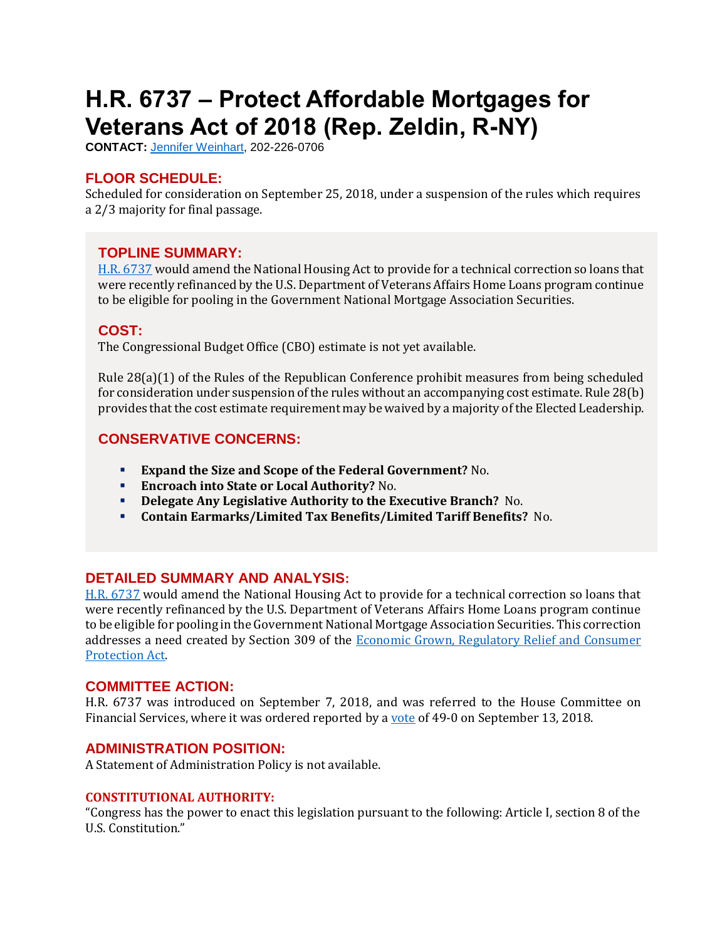# <span id="page-9-0"></span>**H.R. 6737 – Protect Affordable Mortgages for Veterans Act of 2018 (Rep. Zeldin, R-NY)**

**CONTACT:** [Jennifer Weinhart,](mailto:jennifer.weinhart@mail.house.gov) 202-226-0706

## **FLOOR SCHEDULE:**

Scheduled for consideration on September 25, 2018, under a suspension of the rules which requires a 2/3 majority for final passage.

## **TOPLINE SUMMARY:**

[H.R. 6737](https://docs.house.gov/billsthisweek/20180924/HR6737.pdf) would amend the National Housing Act to provide for a technical correction so loans that were recently refinanced by the U.S. Department of Veterans Affairs Home Loans program continue to be eligible for pooling in the Government National Mortgage Association Securities.

#### **COST:**

The Congressional Budget Office (CBO) estimate is not yet available.

Rule 28(a)(1) of the Rules of the Republican Conference prohibit measures from being scheduled for consideration under suspension of the rules without an accompanying cost estimate. Rule 28(b) provides that the cost estimate requirement may be waived by a majority of the Elected Leadership.

## **CONSERVATIVE CONCERNS:**

- **Expand the Size and Scope of the Federal Government?** No.
- **Encroach into State or Local Authority?** No.
- **Delegate Any Legislative Authority to the Executive Branch?** No.
- **Contain Earmarks/Limited Tax Benefits/Limited Tariff Benefits?** No.

#### **DETAILED SUMMARY AND ANALYSIS:**

[H.R. 6737](https://docs.house.gov/billsthisweek/20180924/HR6737.pdf) would amend the National Housing Act to provide for a technical correction so loans that were recently refinanced by the U.S. Department of Veterans Affairs Home Loans program continue to be eligible for pooling in the Government National Mortgage Association Securities. This correction addresses a need created by Section 309 of the **Economic Grown**, Regulatory Relief and Consumer [Protection Act.](https://www.congress.gov/115/bills/s2155/BILLS-115s2155enr.pdf)

#### **COMMITTEE ACTION:**

H.R. 6737 was introduced on September 7, 2018, and was referred to the House Committee on Financial Services, where it was ordered reported by [a vote](https://financialservices.house.gov/uploadedfiles/crpt-115-hmtg-ba00-fc202-20180913.pdf) of 49-0 on September 13, 2018.

#### **ADMINISTRATION POSITION:**

A Statement of Administration Policy is not available.

#### **CONSTITUTIONAL AUTHORITY:**

"Congress has the power to enact this legislation pursuant to the following: Article I, section 8 of the U.S. Constitution."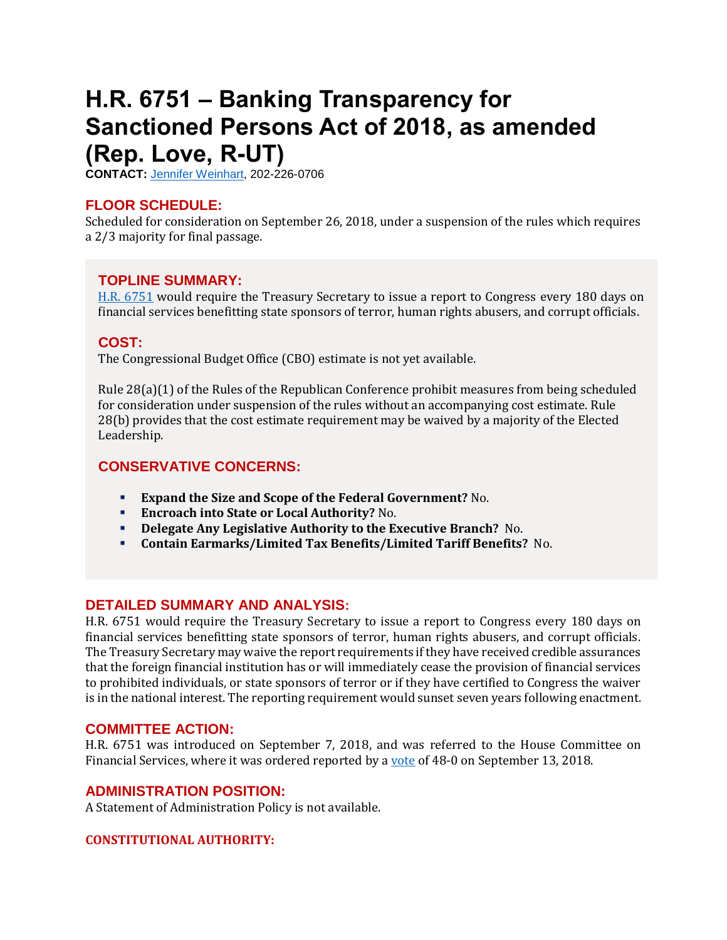## <span id="page-11-0"></span>**H.R. 6751 – Banking Transparency for Sanctioned Persons Act of 2018, as amended (Rep. Love, R-UT)**

**CONTACT:** [Jennifer Weinhart,](mailto:jennifer.weinhart@mail.house.gov) 202-226-0706

## **FLOOR SCHEDULE:**

Scheduled for consideration on September 26, 2018, under a suspension of the rules which requires a 2/3 majority for final passage.

## **TOPLINE SUMMARY:**

[H.R. 6751](https://docs.house.gov/billsthisweek/20180924/HR6751.pdf) would require the Treasury Secretary to issue a report to Congress every 180 days on financial services benefitting state sponsors of terror, human rights abusers, and corrupt officials.

## **COST:**

The Congressional Budget Office (CBO) estimate is not yet available.

Rule 28(a)(1) of the Rules of the Republican Conference prohibit measures from being scheduled for consideration under suspension of the rules without an accompanying cost estimate. Rule 28(b) provides that the cost estimate requirement may be waived by a majority of the Elected Leadership.

## **CONSERVATIVE CONCERNS:**

- **Expand the Size and Scope of the Federal Government?** No.
- **Encroach into State or Local Authority?** No.
- **Delegate Any Legislative Authority to the Executive Branch?** No.
- **Contain Earmarks/Limited Tax Benefits/Limited Tariff Benefits?** No.

## **DETAILED SUMMARY AND ANALYSIS:**

H.R. 6751 would require the Treasury Secretary to issue a report to Congress every 180 days on financial services benefitting state sponsors of terror, human rights abusers, and corrupt officials. The Treasury Secretary may waive the report requirements if they have received credible assurances that the foreign financial institution has or will immediately cease the provision of financial services to prohibited individuals, or state sponsors of terror or if they have certified to Congress the waiver is in the national interest. The reporting requirement would sunset seven years following enactment.

#### **COMMITTEE ACTION:**

H.R. 6751 was introduced on September 7, 2018, and was referred to the House Committee on Financial Services, where it was ordered reported by [a vote](https://financialservices.house.gov/uploadedfiles/crpt-115-hmtg-ba00-fc201-20180913.pdf) of 48-0 on September 13, 2018.

#### **ADMINISTRATION POSITION:**

A Statement of Administration Policy is not available.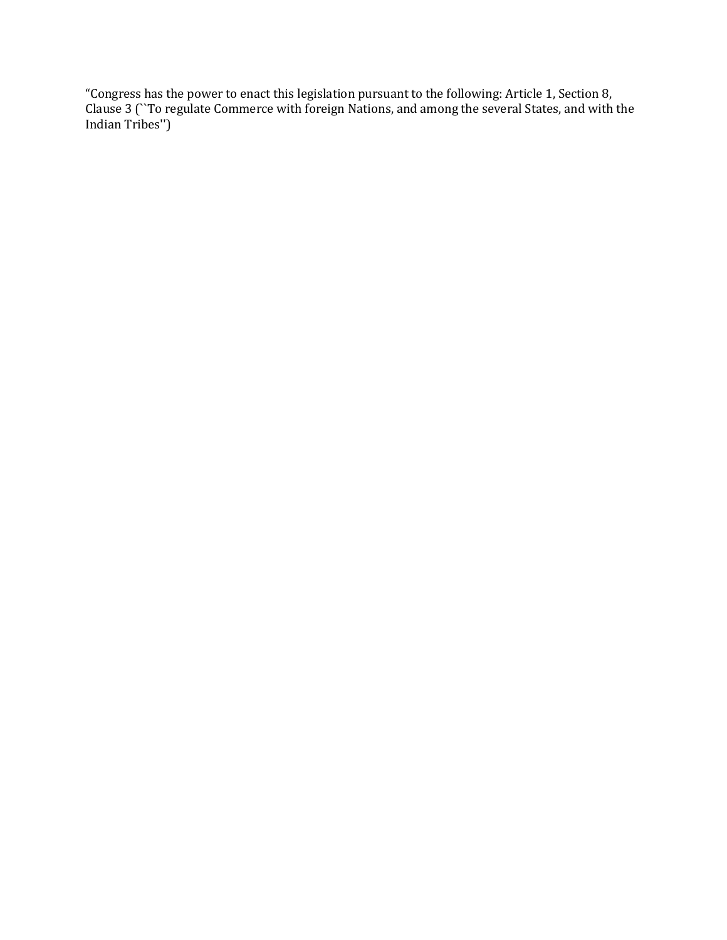"Congress has the power to enact this legislation pursuant to the following: Article 1, Section 8, Clause 3 (``To regulate Commerce with foreign Nations, and among the several States, and with the Indian Tribes'')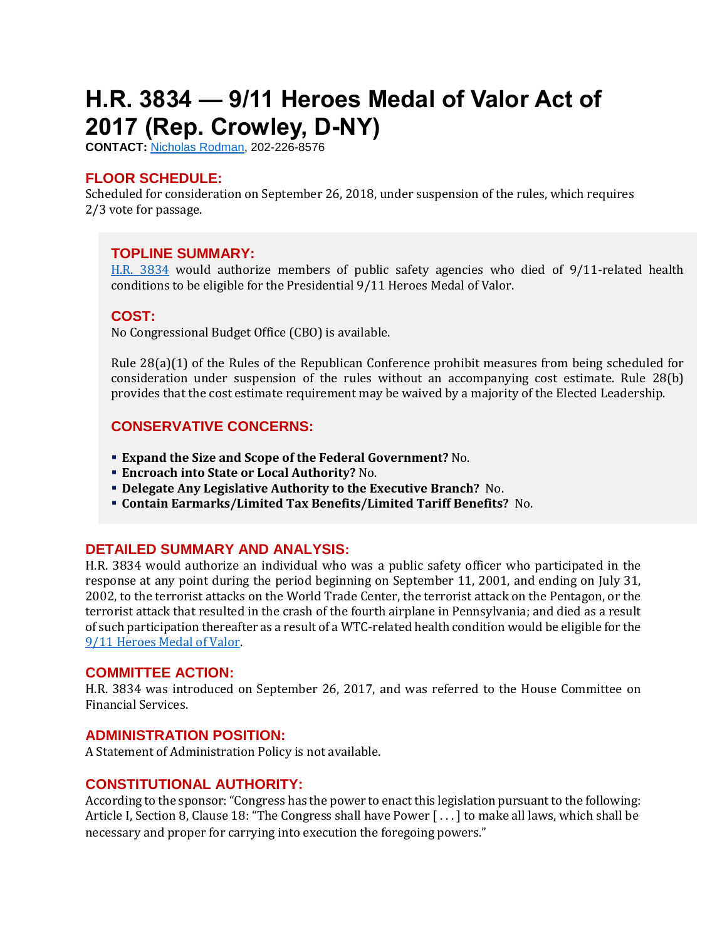# <span id="page-13-0"></span>**H.R. 3834 — 9/11 Heroes Medal of Valor Act of 2017 (Rep. Crowley, D-NY)**

**CONTACT:** [Nicholas Rodman,](mailto:nicholas.rodman@mail.house.gov) 202-226-8576

## **FLOOR SCHEDULE:**

Scheduled for consideration on September 26, 2018, under suspension of the rules, which requires 2/3 vote for passage.

## **TOPLINE SUMMARY:**

[H.R. 3834](https://docs.house.gov/billsthisweek/20180924/HR3834.pdf) would authorize members of public safety agencies who died of 9/11-related health conditions to be eligible for the Presidential 9/11 Heroes Medal of Valor.

## **COST:**

No Congressional Budget Office (CBO) is available.

Rule 28(a)(1) of the Rules of the Republican Conference prohibit measures from being scheduled for consideration under suspension of the rules without an accompanying cost estimate. Rule 28(b) provides that the cost estimate requirement may be waived by a majority of the Elected Leadership.

## **CONSERVATIVE CONCERNS:**

- **Expand the Size and Scope of the Federal Government?** No.
- **Encroach into State or Local Authority?** No.
- **Delegate Any Legislative Authority to the Executive Branch?** No.
- **Contain Earmarks/Limited Tax Benefits/Limited Tariff Benefits?** No.

## **DETAILED SUMMARY AND ANALYSIS:**

H.R. 3834 would authorize an individual who was a public safety officer who participated in the response at any point during the period beginning on September 11, 2001, and ending on July 31, 2002, to the terrorist attacks on the World Trade Center, the terrorist attack on the Pentagon, or the terrorist attack that resulted in the crash of the fourth airplane in Pennsylvania; and died as a result of such participation thereafter as a result of a WTC-related health condition would be eligible for the [9/11 Heroes Medal of Valor.](https://web.archive.org/web/20080807171355/http:/www.ojp.usdoj.gov/911medalofvalor/)

#### **COMMITTEE ACTION:**

H.R. 3834 was introduced on September 26, 2017, and was referred to the House Committee on Financial Services.

#### **ADMINISTRATION POSITION:**

A Statement of Administration Policy is not available.

#### **CONSTITUTIONAL AUTHORITY:**

According to the sponsor: "Congress has the power to enact this legislation pursuant to the following: Article I, Section 8, Clause 18: "The Congress shall have Power [...] to make all laws, which shall be necessary and proper for carrying into execution the foregoing powers."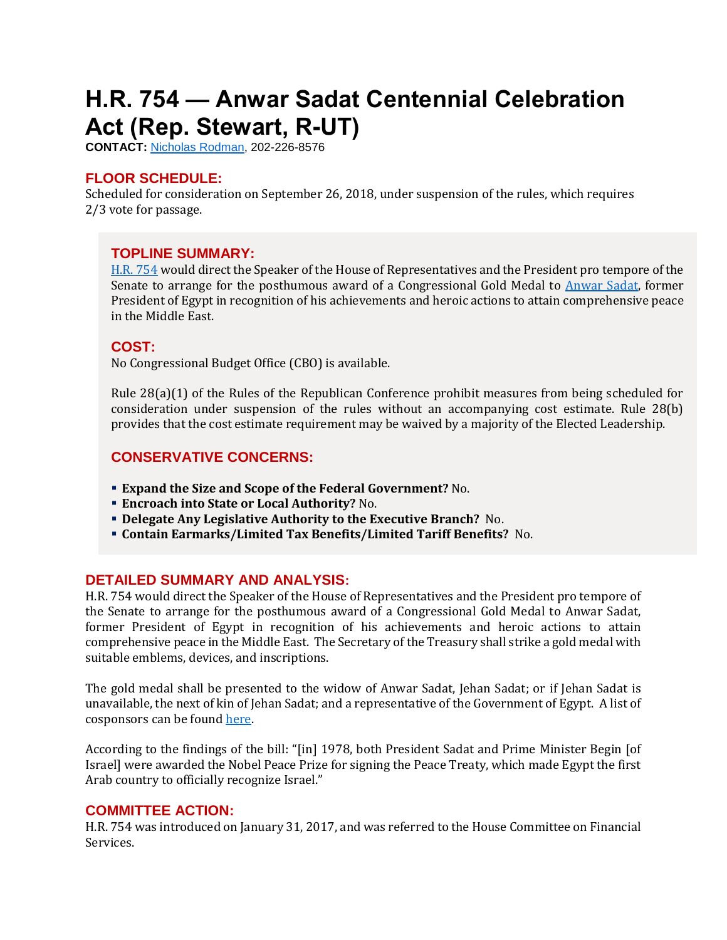# <span id="page-14-0"></span>**H.R. 754 — Anwar Sadat Centennial Celebration Act (Rep. Stewart, R-UT)**

**CONTACT:** [Nicholas Rodman,](mailto:nicholas.rodman@mail.house.gov) 202-226-8576

## **FLOOR SCHEDULE:**

Scheduled for consideration on September 26, 2018, under suspension of the rules, which requires 2/3 vote for passage.

## **TOPLINE SUMMARY:**

[H.R. 754](https://docs.house.gov/billsthisweek/20180924/HR754.pdf) would direct the Speaker of the House of Representatives and the President pro tempore of the Senate to arrange for the posthumous award of a Congressional Gold Medal to [Anwar Sadat,](https://www.nobelprize.org/prizes/peace/1978/al-sadat/facts/) former President of Egypt in recognition of his achievements and heroic actions to attain comprehensive peace in the Middle East.

## **COST:**

No Congressional Budget Office (CBO) is available.

Rule 28(a)(1) of the Rules of the Republican Conference prohibit measures from being scheduled for consideration under suspension of the rules without an accompanying cost estimate. Rule 28(b) provides that the cost estimate requirement may be waived by a majority of the Elected Leadership.

## **CONSERVATIVE CONCERNS:**

- **Expand the Size and Scope of the Federal Government?** No.
- **Encroach into State or Local Authority?** No.
- **Delegate Any Legislative Authority to the Executive Branch?** No.
- **Contain Earmarks/Limited Tax Benefits/Limited Tariff Benefits?** No.

## **DETAILED SUMMARY AND ANALYSIS:**

H.R. 754 would direct the Speaker of the House of Representatives and the President pro tempore of the Senate to arrange for the posthumous award of a Congressional Gold Medal to Anwar Sadat, former President of Egypt in recognition of his achievements and heroic actions to attain comprehensive peace in the Middle East. The Secretary of the Treasury shall strike a gold medal with suitable emblems, devices, and inscriptions.

The gold medal shall be presented to the widow of Anwar Sadat, Jehan Sadat; or if Jehan Sadat is unavailable, the next of kin of Jehan Sadat; and a representative of the Government of Egypt. A list of cosponsors can be found [here.](http://lis.gov/cgi-lis/bdquery/D?d115:1:././temp/~bdcPMj:@@@P:dbs=n:|//www.lis.gov/billsumm/billsumm.php?id=2|)

According to the findings of the bill: "[in] 1978, both President Sadat and Prime Minister Begin [of Israel] were awarded the Nobel Peace Prize for signing the Peace Treaty, which made Egypt the first Arab country to officially recognize Israel."

## **COMMITTEE ACTION:**

H.R. 754 was introduced on January 31, 2017, and was referred to the House Committee on Financial Services.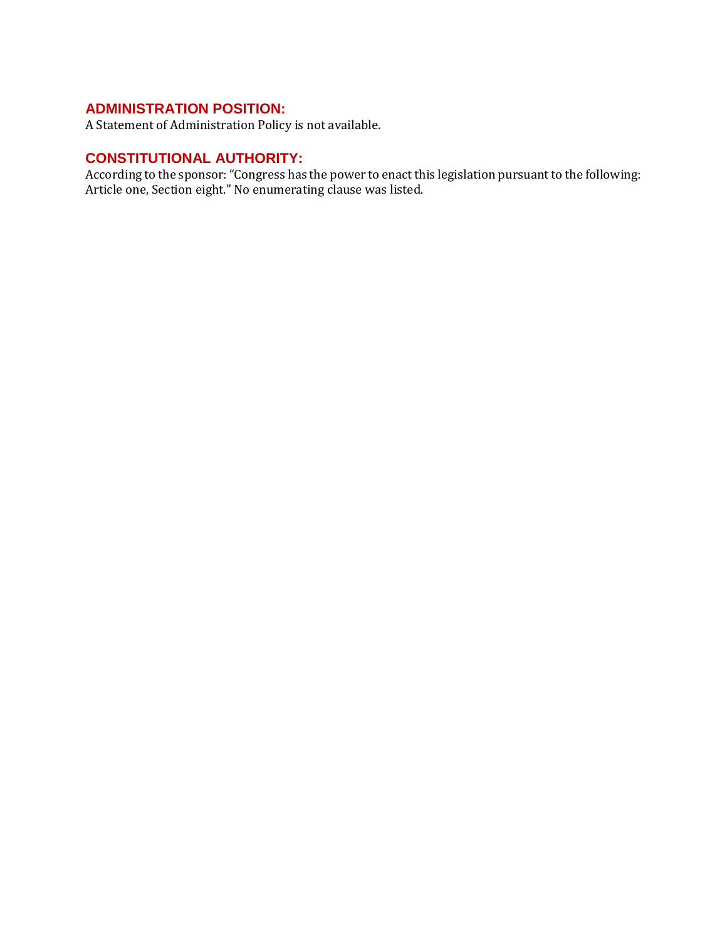## **ADMINISTRATION POSITION:**

A Statement of Administration Policy is not available.

## **CONSTITUTIONAL AUTHORITY:**

According to the sponsor: "Congress has the power to enact this legislation pursuant to the following: Article one, Section eight." No enumerating clause was listed.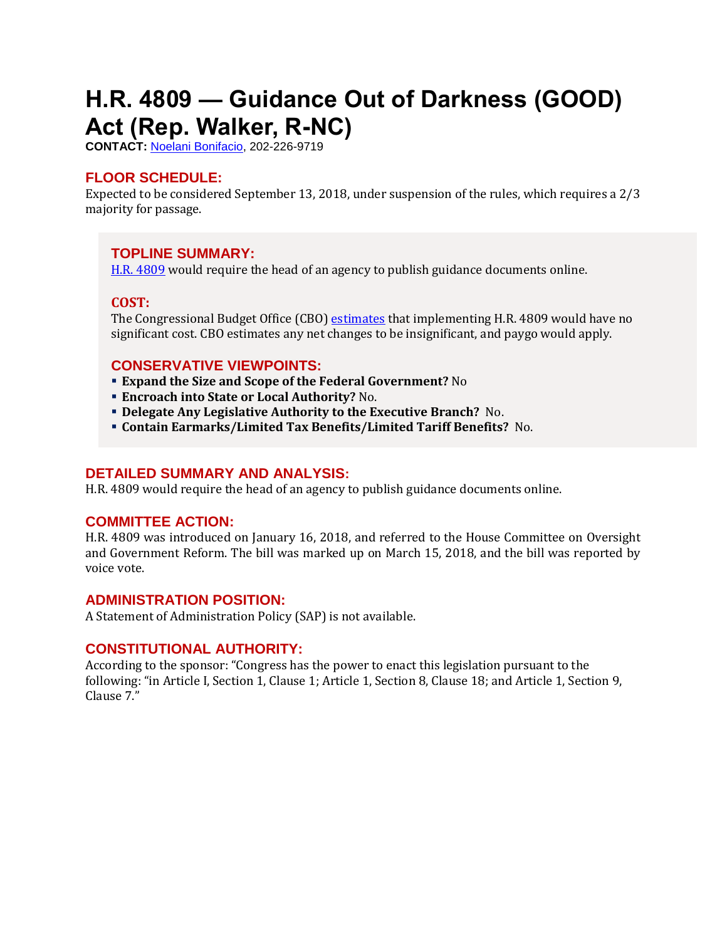# <span id="page-16-0"></span>**H.R. 4809 — Guidance Out of Darkness (GOOD) Act (Rep. Walker, R-NC)**

**CONTACT:** [Noelani Bonifacio,](mailto:Noelani.Bonifacio@mail.house.gov) 202-226-9719

## **FLOOR SCHEDULE:**

Expected to be considered September 13, 2018, under suspension of the rules, which requires a 2/3 majority for passage.

## **TOPLINE SUMMARY:**

[H.R. 4809](https://docs.house.gov/billsthisweek/20180910/HR4809.pdf) would require the head of an agency to publish guidance documents online.

#### **COST:**

The Congressional Budget Office (CBO) [estimates](https://www.cbo.gov/system/files?file=115th-congress-2017-2018/costestimate/hr4809.pdf) that implementing H.R. 4809 would have no significant cost. CBO estimates any net changes to be insignificant, and paygo would apply.

## **CONSERVATIVE VIEWPOINTS:**

- **Expand the Size and Scope of the Federal Government?** No
- **Encroach into State or Local Authority?** No.
- **Delegate Any Legislative Authority to the Executive Branch?** No.
- **Contain Earmarks/Limited Tax Benefits/Limited Tariff Benefits?** No.

## **DETAILED SUMMARY AND ANALYSIS:**

H.R. 4809 would require the head of an agency to publish guidance documents online.

#### **COMMITTEE ACTION:**

H.R. 4809 was introduced on January 16, 2018, and referred to the House Committee on Oversight and Government Reform. The bill was marked up on March 15, 2018, and the bill was reported by voice vote.

#### **ADMINISTRATION POSITION:**

A Statement of Administration Policy (SAP) is not available.

## **CONSTITUTIONAL AUTHORITY:**

According to the sponsor: "Congress has the power to enact this legislation pursuant to the following: "in Article I, Section 1, Clause 1; Article 1, Section 8, Clause 18; and Article 1, Section 9, Clause 7."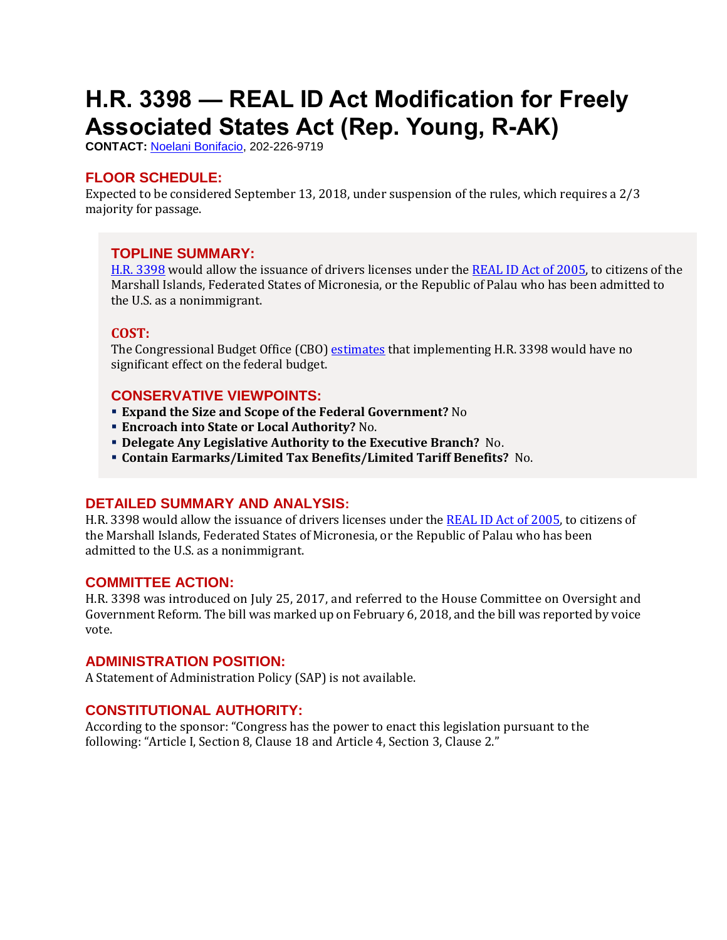# <span id="page-17-0"></span>**H.R. 3398 — REAL ID Act Modification for Freely Associated States Act (Rep. Young, R-AK)**

**CONTACT:** [Noelani Bonifacio,](mailto:Noelani.Bonifacio@mail.house.gov) 202-226-9719

#### **FLOOR SCHEDULE:**

Expected to be considered September 13, 2018, under suspension of the rules, which requires a 2/3 majority for passage.

#### **TOPLINE SUMMARY:**

[H.R. 3398](https://docs.house.gov/billsthisweek/20180910/HR3398.pdf) would allow the issuance of drivers licenses under the REAL ID [Act of 2005,](http://uscode.house.gov/view.xhtml?req=(title:49%20section:30301%20edition:prelim)%20OR%20(granuleid:USC-prelim-title49-section30301)&f=treesort&edition=prelim&num=0&jumpTo=true) to citizens of the Marshall Islands, Federated States of Micronesia, or the Republic of Palau who has been admitted to the U.S. as a nonimmigrant.

#### **COST:**

The Congressional Budget Office (CBO) [estimates](https://www.cbo.gov/system/files?file=115th-congress-2017-2018/costestimate/hr3398.pdf) that implementing H.R. 3398 would have no significant effect on the federal budget.

#### **CONSERVATIVE VIEWPOINTS:**

- **Expand the Size and Scope of the Federal Government?** No
- **Encroach into State or Local Authority?** No.
- **Delegate Any Legislative Authority to the Executive Branch?** No.
- **Contain Earmarks/Limited Tax Benefits/Limited Tariff Benefits?** No.

#### **DETAILED SUMMARY AND ANALYSIS:**

H.R. 3398 would allow the issuance of drivers licenses under the [REAL ID Act of 2005,](http://uscode.house.gov/view.xhtml?req=(title:49%20section:30301%20edition:prelim)%20OR%20(granuleid:USC-prelim-title49-section30301)&f=treesort&edition=prelim&num=0&jumpTo=true) to citizens of the Marshall Islands, Federated States of Micronesia, or the Republic of Palau who has been admitted to the U.S. as a nonimmigrant.

#### **COMMITTEE ACTION:**

H.R. 3398 was introduced on July 25, 2017, and referred to the House Committee on Oversight and Government Reform. The bill was marked up on February 6, 2018, and the bill was reported by voice vote.

#### **ADMINISTRATION POSITION:**

A Statement of Administration Policy (SAP) is not available.

## **CONSTITUTIONAL AUTHORITY:**

According to the sponsor: "Congress has the power to enact this legislation pursuant to the following: "Article I, Section 8, Clause 18 and Article 4, Section 3, Clause 2."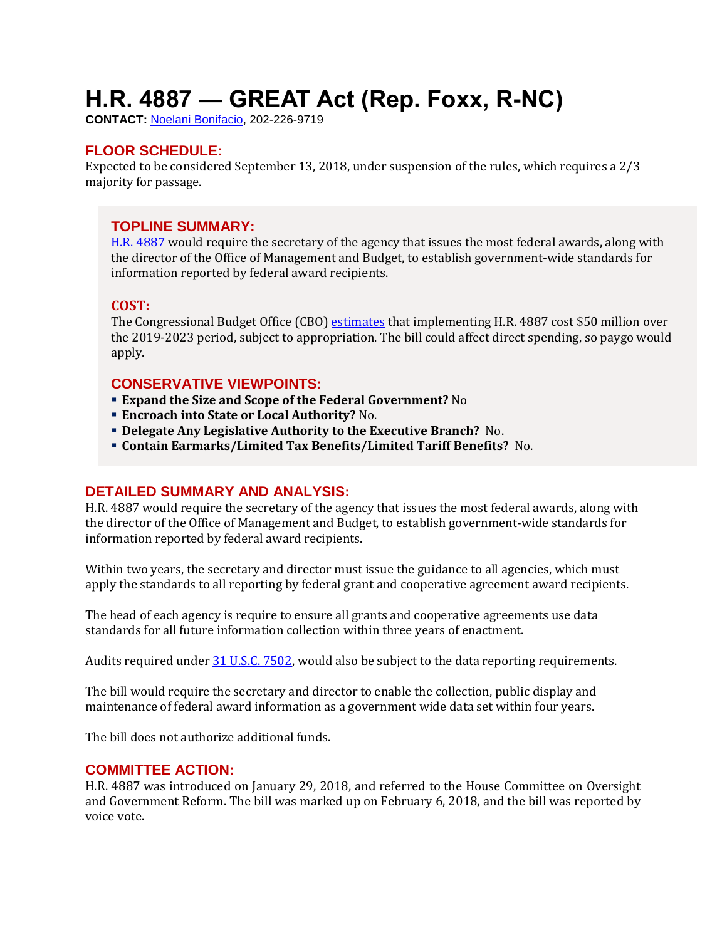# <span id="page-18-0"></span>**H.R. 4887 — GREAT Act (Rep. Foxx, R-NC)**

**CONTACT:** [Noelani Bonifacio,](mailto:Noelani.Bonifacio@mail.house.gov) 202-226-9719

## **FLOOR SCHEDULE:**

Expected to be considered September 13, 2018, under suspension of the rules, which requires a 2/3 majority for passage.

## **TOPLINE SUMMARY:**

[H.R. 4887](https://docs.house.gov/billsthisweek/20180910/HR4887-1.pdf) would require the secretary of the agency that issues the most federal awards, along with the director of the Office of Management and Budget, to establish government-wide standards for information reported by federal award recipients.

#### **COST:**

The Congressional Budget Office (CBO) [estimates](https://www.cbo.gov/system/files?file=2018-07/hr4887.pdf) that implementing H.R. 4887 cost \$50 million over the 2019-2023 period, subject to appropriation. The bill could affect direct spending, so paygo would apply.

## **CONSERVATIVE VIEWPOINTS:**

- **Expand the Size and Scope of the Federal Government?** No
- **Encroach into State or Local Authority?** No.
- **Delegate Any Legislative Authority to the Executive Branch?** No.
- **Contain Earmarks/Limited Tax Benefits/Limited Tariff Benefits?** No.

## **DETAILED SUMMARY AND ANALYSIS:**

H.R. 4887 would require the secretary of the agency that issues the most federal awards, along with the director of the Office of Management and Budget, to establish government-wide standards for information reported by federal award recipients.

Within two years, the secretary and director must issue the guidance to all agencies, which must apply the standards to all reporting by federal grant and cooperative agreement award recipients.

The head of each agency is require to ensure all grants and cooperative agreements use data standards for all future information collection within three years of enactment.

Audits required under [31 U.S.C. 7502,](http://uscode.house.gov/view.xhtml?req=(title:31%20section:7502%20edition:prelim)%20OR%20(granuleid:USC-prelim-title31-section7502)&f=treesort&edition=prelim&num=0&jumpTo=true) would also be subject to the data reporting requirements.

The bill would require the secretary and director to enable the collection, public display and maintenance of federal award information as a government wide data set within four years.

The bill does not authorize additional funds.

#### **COMMITTEE ACTION:**

H.R. 4887 was introduced on January 29, 2018, and referred to the House Committee on Oversight and Government Reform. The bill was marked up on February 6, 2018, and the bill was reported by voice vote.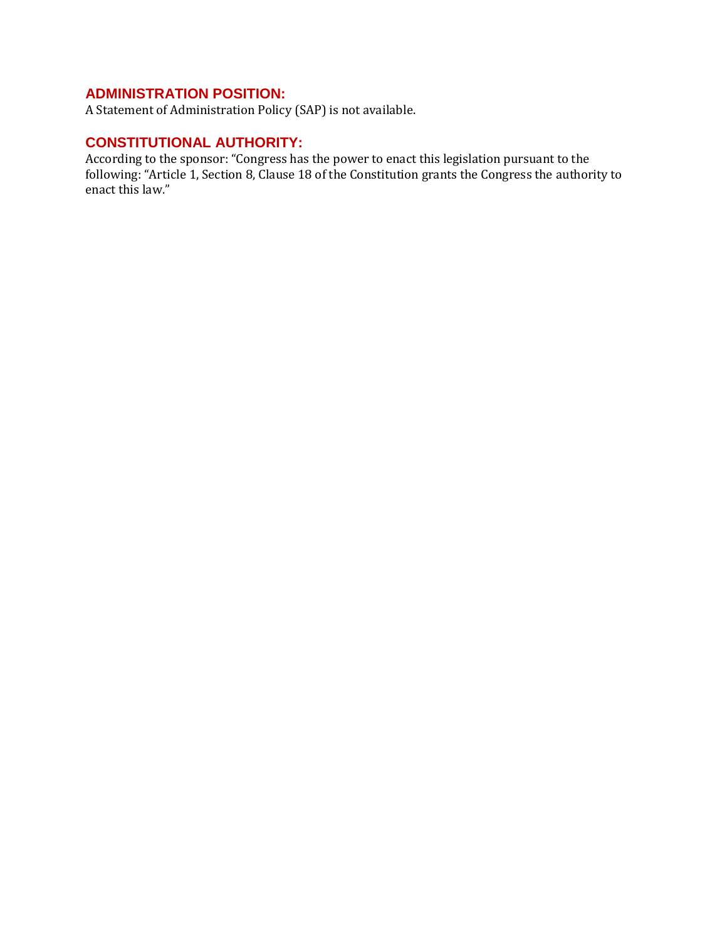## **ADMINISTRATION POSITION:**

A Statement of Administration Policy (SAP) is not available.

## **CONSTITUTIONAL AUTHORITY:**

According to the sponsor: "Congress has the power to enact this legislation pursuant to the following: "Article 1, Section 8, Clause 18 of the Constitution grants the Congress the authority to enact this law."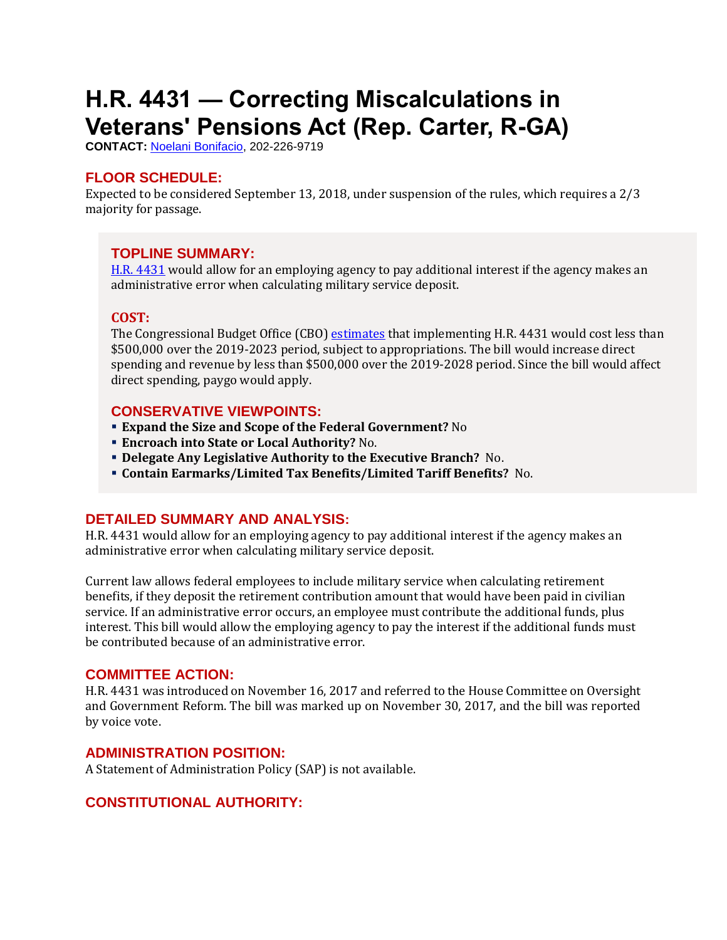# <span id="page-20-0"></span>**H.R. 4431 — Correcting Miscalculations in Veterans' Pensions Act (Rep. Carter, R-GA)**

**CONTACT:** [Noelani Bonifacio,](mailto:Noelani.Bonifacio@mail.house.gov) 202-226-9719

## **FLOOR SCHEDULE:**

Expected to be considered September 13, 2018, under suspension of the rules, which requires a 2/3 majority for passage.

## **TOPLINE SUMMARY:**

[H.R. 4431](https://docs.house.gov/billsthisweek/20180910/HR4431.pdf) would allow for an employing agency to pay additional interest if the agency makes an administrative error when calculating military service deposit.

## **COST:**

The Congressional Budget Office (CBO) [estimates](https://www.cbo.gov/system/files?file=2018-09/hr4431.pdf) that implementing H.R. 4431 would cost less than \$500,000 over the 2019-2023 period, subject to appropriations. The bill would increase direct spending and revenue by less than \$500,000 over the 2019-2028 period. Since the bill would affect direct spending, paygo would apply.

## **CONSERVATIVE VIEWPOINTS:**

- **Expand the Size and Scope of the Federal Government?** No
- **Encroach into State or Local Authority?** No.
- **Delegate Any Legislative Authority to the Executive Branch?** No.
- **Contain Earmarks/Limited Tax Benefits/Limited Tariff Benefits?** No.

## **DETAILED SUMMARY AND ANALYSIS:**

H.R. 4431 would allow for an employing agency to pay additional interest if the agency makes an administrative error when calculating military service deposit.

Current law allows federal employees to include military service when calculating retirement benefits, if they deposit the retirement contribution amount that would have been paid in civilian service. If an administrative error occurs, an employee must contribute the additional funds, plus interest. This bill would allow the employing agency to pay the interest if the additional funds must be contributed because of an administrative error.

## **COMMITTEE ACTION:**

H.R. 4431 was introduced on November 16, 2017 and referred to the House Committee on Oversight and Government Reform. The bill was marked up on November 30, 2017, and the bill was reported by voice vote.

## **ADMINISTRATION POSITION:**

A Statement of Administration Policy (SAP) is not available.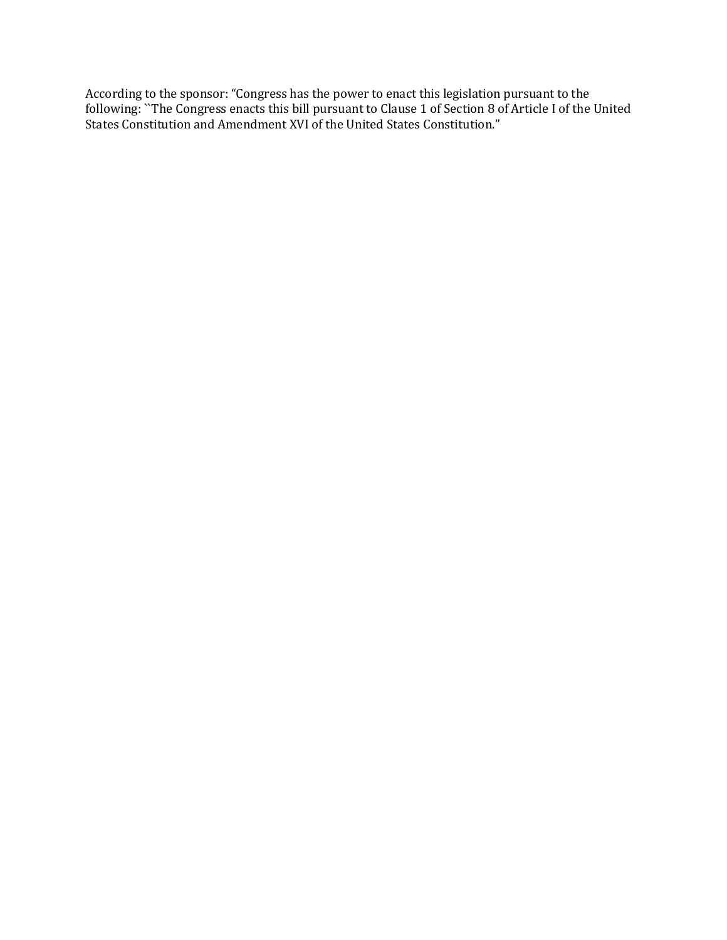According to the sponsor: "Congress has the power to enact this legislation pursuant to the following: ``The Congress enacts this bill pursuant to Clause 1 of Section 8 of Article I of the United States Constitution and Amendment XVI of the United States Constitution."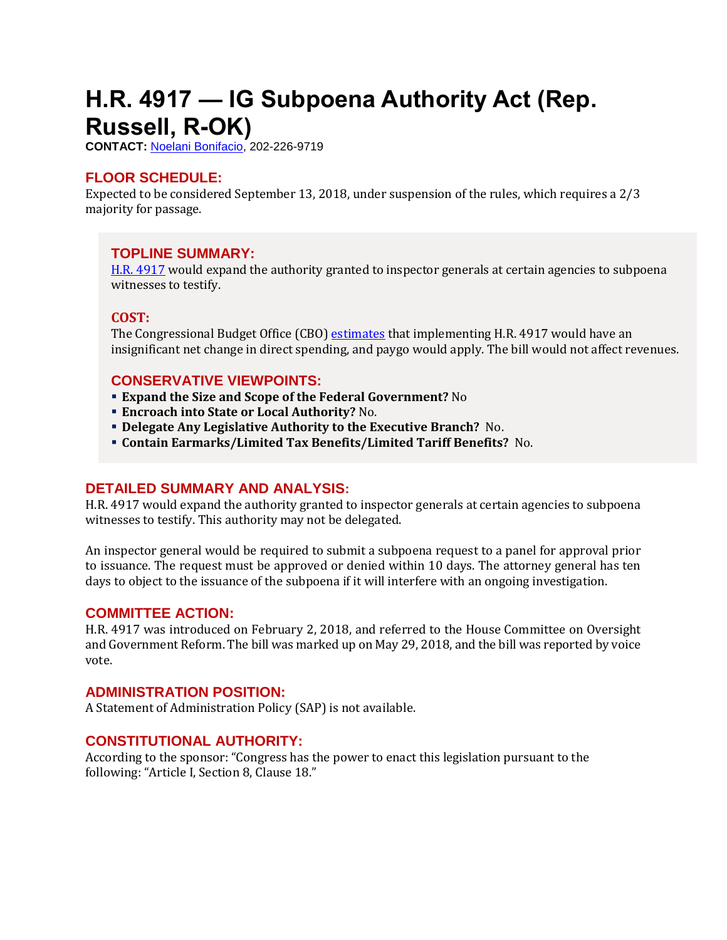# <span id="page-22-0"></span>**H.R. 4917 — IG Subpoena Authority Act (Rep. Russell, R-OK)**

**CONTACT:** [Noelani Bonifacio,](mailto:Noelani.Bonifacio@mail.house.gov) 202-226-9719

## **FLOOR SCHEDULE:**

Expected to be considered September 13, 2018, under suspension of the rules, which requires a 2/3 majority for passage.

## **TOPLINE SUMMARY:**

[H.R. 4917](https://docs.house.gov/billsthisweek/20180910/HR4917.pdf) would expand the authority granted to inspector generals at certain agencies to subpoena witnesses to testify.

## **COST:**

The Congressional Budget Office (CBO) [estimates](https://www.cbo.gov/system/files?file=115th-congress-2017-2018/costestimate/hr4917.pdf) that implementing H.R. 4917 would have an insignificant net change in direct spending, and paygo would apply. The bill would not affect revenues.

## **CONSERVATIVE VIEWPOINTS:**

- **Expand the Size and Scope of the Federal Government?** No
- **Encroach into State or Local Authority?** No.
- **Delegate Any Legislative Authority to the Executive Branch?** No.
- **Contain Earmarks/Limited Tax Benefits/Limited Tariff Benefits?** No.

## **DETAILED SUMMARY AND ANALYSIS:**

H.R. 4917 would expand the authority granted to inspector generals at certain agencies to subpoena witnesses to testify. This authority may not be delegated.

An inspector general would be required to submit a subpoena request to a panel for approval prior to issuance. The request must be approved or denied within 10 days. The attorney general has ten days to object to the issuance of the subpoena if it will interfere with an ongoing investigation.

#### **COMMITTEE ACTION:**

H.R. 4917 was introduced on February 2, 2018, and referred to the House Committee on Oversight and Government Reform. The bill was marked up on May 29, 2018, and the bill was reported by voice vote.

#### **ADMINISTRATION POSITION:**

A Statement of Administration Policy (SAP) is not available.

## **CONSTITUTIONAL AUTHORITY:**

According to the sponsor: "Congress has the power to enact this legislation pursuant to the following: "Article I, Section 8, Clause 18."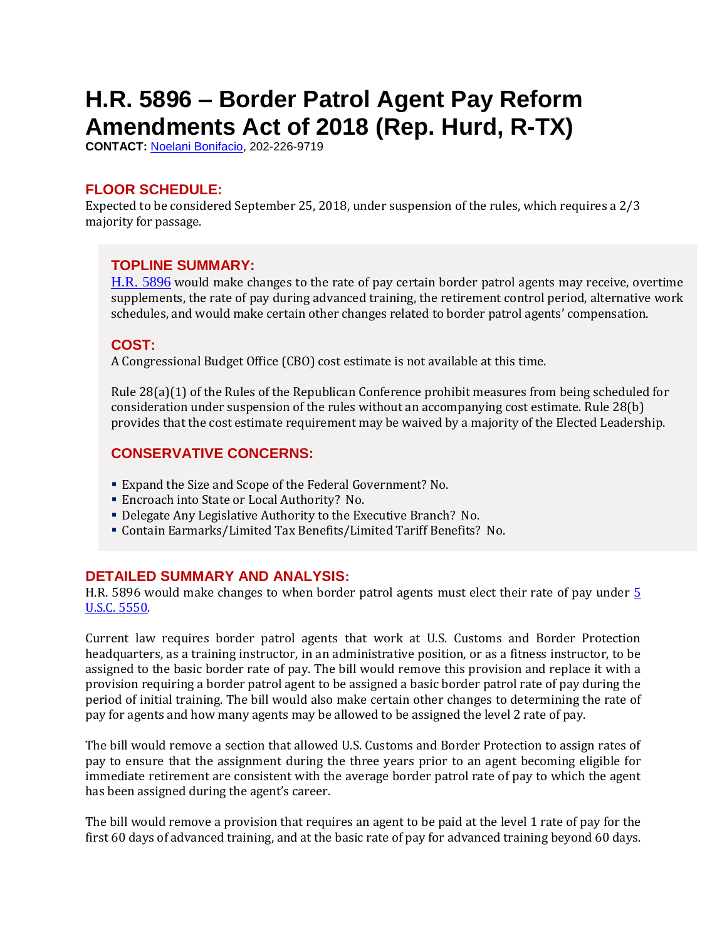# <span id="page-23-0"></span>**H.R. 5896 – Border Patrol Agent Pay Reform Amendments Act of 2018 (Rep. Hurd, R-TX)**

**CONTACT:** [Noelani Bonifacio,](mailto:Noelani.Bonifacio@mail.house.gov) 202-226-9719

## **FLOOR SCHEDULE:**

Expected to be considered September 25, 2018, under suspension of the rules, which requires a 2/3 majority for passage.

## **TOPLINE SUMMARY:**

[H.R. 5896](http://docs.house.gov/billsthisweek/20180924/HR5896.pdf) would make changes to the rate of pay certain border patrol agents may receive, overtime supplements, the rate of pay during advanced training, the retirement control period, alternative work schedules, and would make certain other changes related to border patrol agents' compensation.

## **COST:**

A Congressional Budget Office (CBO) cost estimate is not available at this time.

Rule 28(a)(1) of the Rules of the Republican Conference prohibit measures from being scheduled for consideration under suspension of the rules without an accompanying cost estimate. Rule 28(b) provides that the cost estimate requirement may be waived by a majority of the Elected Leadership.

## **CONSERVATIVE CONCERNS:**

- Expand the Size and Scope of the Federal Government? No.
- Encroach into State or Local Authority? No.
- Delegate Any Legislative Authority to the Executive Branch? No.
- Contain Earmarks/Limited Tax Benefits/Limited Tariff Benefits? No.

## **DETAILED SUMMARY AND ANALYSIS:**

H.R. 5896 would make changes to when border patrol agents must elect their rate of pay under [5](http://uscode.house.gov/view.xhtml?req=(title:5%20section:5550%20edition:prelim)%20OR%20(granuleid:USC-prelim-title5-section5550)&f=treesort&edition=prelim&num=0&jumpTo=true)  [U.S.C. 5550.](http://uscode.house.gov/view.xhtml?req=(title:5%20section:5550%20edition:prelim)%20OR%20(granuleid:USC-prelim-title5-section5550)&f=treesort&edition=prelim&num=0&jumpTo=true) 

Current law requires border patrol agents that work at U.S. Customs and Border Protection headquarters, as a training instructor, in an administrative position, or as a fitness instructor, to be assigned to the basic border rate of pay. The bill would remove this provision and replace it with a provision requiring a border patrol agent to be assigned a basic border patrol rate of pay during the period of initial training. The bill would also make certain other changes to determining the rate of pay for agents and how many agents may be allowed to be assigned the level 2 rate of pay.

The bill would remove a section that allowed U.S. Customs and Border Protection to assign rates of pay to ensure that the assignment during the three years prior to an agent becoming eligible for immediate retirement are consistent with the average border patrol rate of pay to which the agent has been assigned during the agent's career.

The bill would remove a provision that requires an agent to be paid at the level 1 rate of pay for the first 60 days of advanced training, and at the basic rate of pay for advanced training beyond 60 days.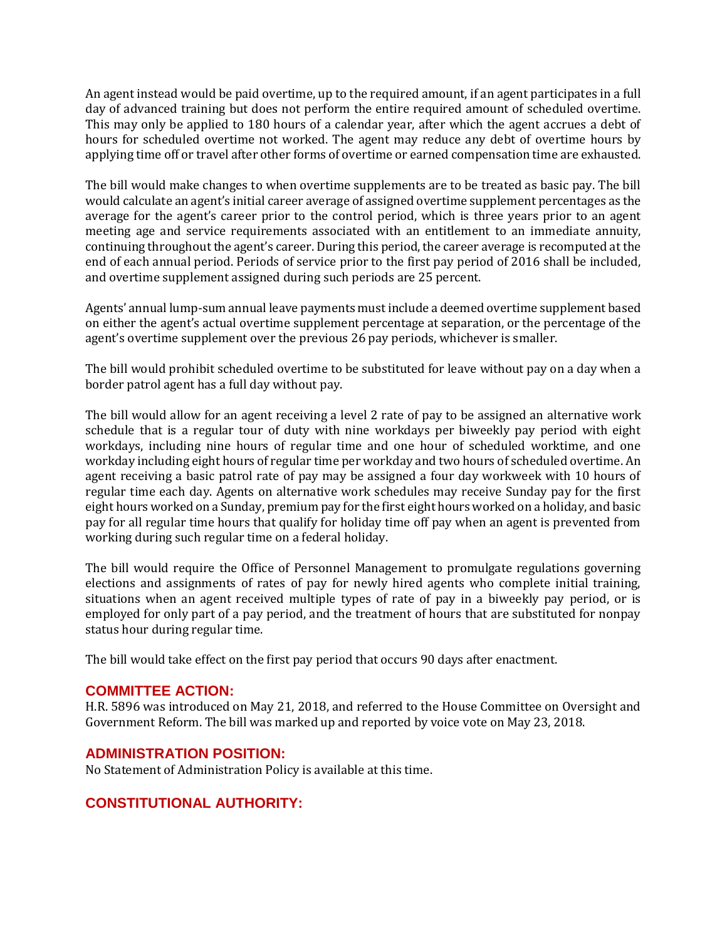An agent instead would be paid overtime, up to the required amount, if an agent participates in a full day of advanced training but does not perform the entire required amount of scheduled overtime. This may only be applied to 180 hours of a calendar year, after which the agent accrues a debt of hours for scheduled overtime not worked. The agent may reduce any debt of overtime hours by applying time off or travel after other forms of overtime or earned compensation time are exhausted.

The bill would make changes to when overtime supplements are to be treated as basic pay. The bill would calculate an agent's initial career average of assigned overtime supplement percentages as the average for the agent's career prior to the control period, which is three years prior to an agent meeting age and service requirements associated with an entitlement to an immediate annuity, continuing throughout the agent's career. During this period, the career average is recomputed at the end of each annual period. Periods of service prior to the first pay period of 2016 shall be included, and overtime supplement assigned during such periods are 25 percent.

Agents' annual lump-sum annual leave payments must include a deemed overtime supplement based on either the agent's actual overtime supplement percentage at separation, or the percentage of the agent's overtime supplement over the previous 26 pay periods, whichever is smaller.

The bill would prohibit scheduled overtime to be substituted for leave without pay on a day when a border patrol agent has a full day without pay.

The bill would allow for an agent receiving a level 2 rate of pay to be assigned an alternative work schedule that is a regular tour of duty with nine workdays per biweekly pay period with eight workdays, including nine hours of regular time and one hour of scheduled worktime, and one workday including eight hours of regular time per workday and two hours of scheduled overtime. An agent receiving a basic patrol rate of pay may be assigned a four day workweek with 10 hours of regular time each day. Agents on alternative work schedules may receive Sunday pay for the first eight hours worked on a Sunday, premium pay for the first eight hours worked on a holiday, and basic pay for all regular time hours that qualify for holiday time off pay when an agent is prevented from working during such regular time on a federal holiday.

The bill would require the Office of Personnel Management to promulgate regulations governing elections and assignments of rates of pay for newly hired agents who complete initial training, situations when an agent received multiple types of rate of pay in a biweekly pay period, or is employed for only part of a pay period, and the treatment of hours that are substituted for nonpay status hour during regular time.

The bill would take effect on the first pay period that occurs 90 days after enactment.

#### **COMMITTEE ACTION:**

H.R. 5896 was introduced on May 21, 2018, and referred to the House Committee on Oversight and Government Reform. The bill was marked up and reported by voice vote on May 23, 2018.

#### **ADMINISTRATION POSITION:**

No Statement of Administration Policy is available at this time.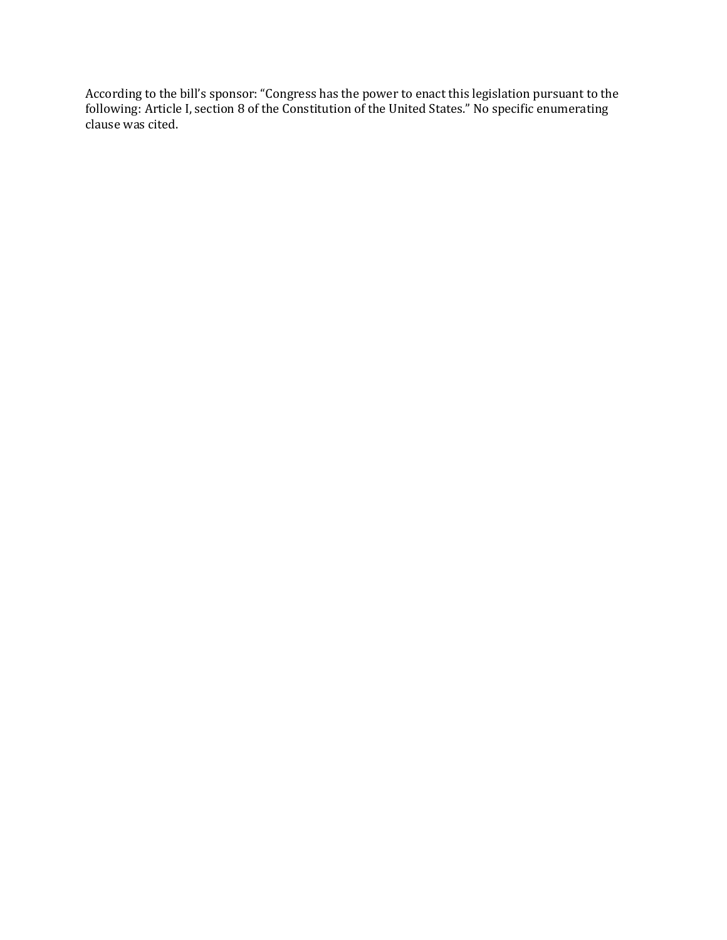According to the bill's sponsor: "Congress has the power to enact this legislation pursuant to the following: Article I, section 8 of the Constitution of the United States." No specific enumerating clause was cited.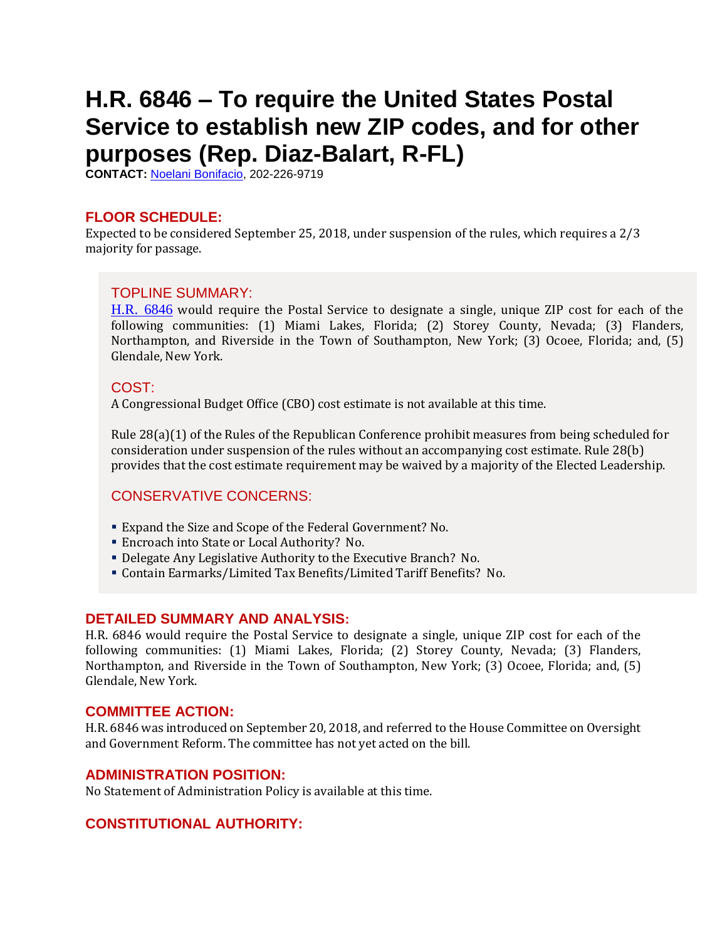# <span id="page-26-0"></span>**H.R. 6846 – To require the United States Postal Service to establish new ZIP codes, and for other purposes (Rep. Diaz-Balart, R-FL)**

**CONTACT:** [Noelani Bonifacio,](mailto:Noelani.Bonifacio@mail.house.gov) 202-226-9719

#### **FLOOR SCHEDULE:**

Expected to be considered September 25, 2018, under suspension of the rules, which requires a 2/3 majority for passage.

#### TOPLINE SUMMARY:

[H.R. 6846](http://docs.house.gov/billsthisweek/20180924/HR6846.pdf) would require the Postal Service to designate a single, unique ZIP cost for each of the following communities: (1) Miami Lakes, Florida; (2) Storey County, Nevada; (3) Flanders, Northampton, and Riverside in the Town of Southampton, New York; (3) Ocoee, Florida; and, (5) Glendale, New York.

#### COST:

A Congressional Budget Office (CBO) cost estimate is not available at this time.

Rule 28(a)(1) of the Rules of the Republican Conference prohibit measures from being scheduled for consideration under suspension of the rules without an accompanying cost estimate. Rule 28(b) provides that the cost estimate requirement may be waived by a majority of the Elected Leadership.

## CONSERVATIVE CONCERNS:

- Expand the Size and Scope of the Federal Government? No.
- Encroach into State or Local Authority? No.
- Delegate Any Legislative Authority to the Executive Branch? No.
- Contain Earmarks/Limited Tax Benefits/Limited Tariff Benefits? No.

#### **DETAILED SUMMARY AND ANALYSIS:**

H.R. 6846 would require the Postal Service to designate a single, unique ZIP cost for each of the following communities: (1) Miami Lakes, Florida; (2) Storey County, Nevada; (3) Flanders, Northampton, and Riverside in the Town of Southampton, New York; (3) Ocoee, Florida; and, (5) Glendale, New York.

#### **COMMITTEE ACTION:**

H.R. 6846 was introduced on September 20, 2018, and referred to the House Committee on Oversight and Government Reform. The committee has not yet acted on the bill.

#### **ADMINISTRATION POSITION:**

No Statement of Administration Policy is available at this time.